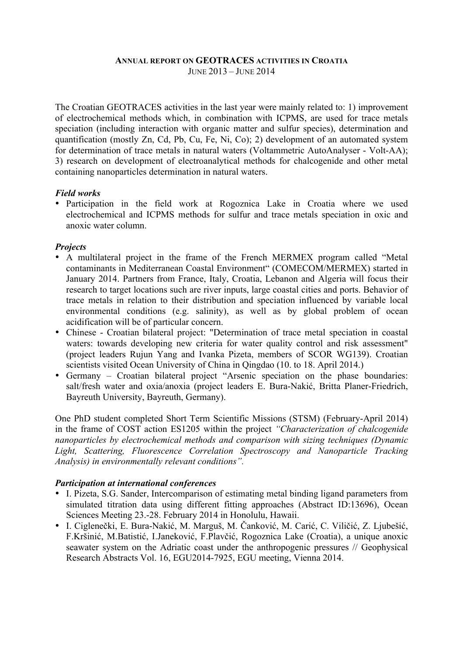#### **ANNUAL REPORT ON GEOTRACES ACTIVITIES IN CROATIA** JUNE 2013 – JUNE 2014

The Croatian GEOTRACES activities in the last year were mainly related to: 1) improvement of electrochemical methods which, in combination with ICPMS, are used for trace metals speciation (including interaction with organic matter and sulfur species), determination and quantification (mostly Zn, Cd, Pb, Cu, Fe, Ni, Co); 2) development of an automated system for determination of trace metals in natural waters (Voltammetric AutoAnalyser - Volt-AA); 3) research on development of electroanalytical methods for chalcogenide and other metal containing nanoparticles determination in natural waters.

#### *Field works*

• Participation in the field work at Rogoznica Lake in Croatia where we used electrochemical and ICPMS methods for sulfur and trace metals speciation in oxic and anoxic water column.

## *Projects*

- A multilateral project in the frame of the French MERMEX program called "Metal contaminants in Mediterranean Coastal Environment" (COMECOM/MERMEX) started in January 2014. Partners from France, Italy, Croatia, Lebanon and Algeria will focus their research to target locations such are river inputs, large coastal cities and ports. Behavior of trace metals in relation to their distribution and speciation influenced by variable local environmental conditions (e.g. salinity), as well as by global problem of ocean acidification will be of particular concern.
- Chinese Croatian bilateral project: "Determination of trace metal speciation in coastal waters: towards developing new criteria for water quality control and risk assessment" (project leaders Rujun Yang and Ivanka Pizeta, members of SCOR WG139). Croatian scientists visited Ocean University of China in Qingdao (10. to 18. April 2014.)
- Germany Croatian bilateral project "Arsenic speciation on the phase boundaries: salt/fresh water and oxia/anoxia (project leaders E. Bura-Nakić, Britta Planer-Friedrich, Bayreuth University, Bayreuth, Germany).

One PhD student completed Short Term Scientific Missions (STSM) (February-April 2014) in the frame of COST action ES1205 within the project *"Characterization of chalcogenide nanoparticles by electrochemical methods and comparison with sizing techniques (Dynamic Light, Scattering, Fluorescence Correlation Spectroscopy and Nanoparticle Tracking Analysis) in environmentally relevant conditions".*

## *Participation at international conferences*

- I. Pizeta, S.G. Sander, Intercomparison of estimating metal binding ligand parameters from simulated titration data using different fitting approaches (Abstract ID:13696), Ocean Sciences Meeting 23.-28. February 2014 in Honolulu, Hawaii.
- I. Ciglenečki, E. Bura-Nakić, M. Marguš, M. Čanković, M. Carić, C. Viličić, Z. Ljubešić, F.Kršinić, M.Batistić, I.Janeković, F.Plavčić, Rogoznica Lake (Croatia), a unique anoxic seawater system on the Adriatic coast under the anthropogenic pressures // Geophysical Research Abstracts Vol. 16, EGU2014-7925, EGU meeting, Vienna 2014.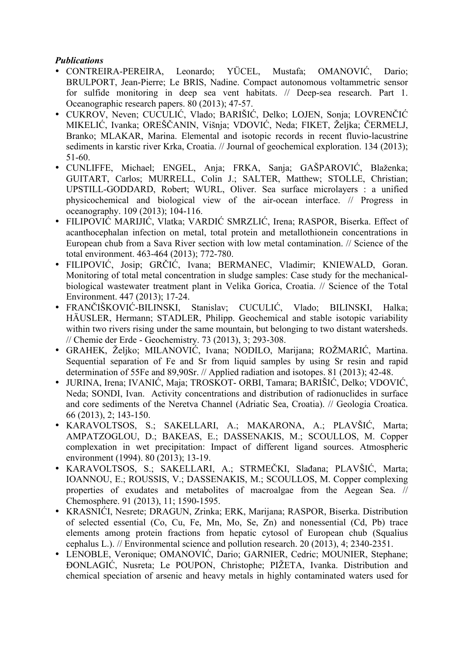# *Publications*

- CONTREIRA-PEREIRA, Leonardo; YÜCEL, Mustafa; OMANOVIĆ, Dario; BRULPORT, Jean-Pierre; Le BRIS, Nadine. Compact autonomous voltammetric sensor for sulfide monitoring in deep sea vent habitats. // Deep-sea research. Part 1. Oceanographic research papers. 80 (2013); 47-57.
- CUKROV, Neven; CUCULIĆ, Vlado; BARIŠIĆ, Delko; LOJEN, Sonja; LOVRENČIĆ MIKELIĆ, Ivanka; OREŠČANIN, Višnja; VDOVIĆ, Neda; FIKET, Željka; ČERMELJ, Branko; MLAKAR, Marina. Elemental and isotopic records in recent fluvio-lacustrine sediments in karstic river Krka, Croatia. // Journal of geochemical exploration. 134 (2013); 51-60.
- CUNLIFFE, Michael; ENGEL, Anja; FRKA, Sanja; GAŠPAROVIĆ, Blaženka; GUITART, Carlos; MURRELL, Colin J.; SALTER, Matthew; STOLLE, Christian; UPSTILL-GODDARD, Robert; WURL, Oliver. Sea surface microlayers : a unified physicochemical and biological view of the air-ocean interface. // Progress in oceanography. 109 (2013); 104-116.
- FILIPOVIĆ MARIJIĆ, Vlatka; VARDIĆ SMRZLIĆ, Irena; RASPOR, Biserka. Effect of acanthocephalan infection on metal, total protein and metallothionein concentrations in European chub from a Sava River section with low metal contamination. // Science of the total environment. 463-464 (2013); 772-780.
- FILIPOVIĆ, Josip; GRČIĆ, Ivana; BERMANEC, Vladimir; KNIEWALD, Goran. Monitoring of total metal concentration in sludge samples: Case study for the mechanicalbiological wastewater treatment plant in Velika Gorica, Croatia. // Science of the Total Environment. 447 (2013); 17-24.
- FRANČIŠKOVIĆ-BILINSKI, Stanislav; CUCULIĆ, Vlado; BILINSKI, Halka; HÄUSLER, Hermann; STADLER, Philipp. Geochemical and stable isotopic variability within two rivers rising under the same mountain, but belonging to two distant watersheds. // Chemie der Erde - Geochemistry. 73 (2013), 3; 293-308.
- GRAHEK, Željko; MILANOVIĆ, Ivana; NODILO, Marijana; ROŽMARIĆ, Martina. Sequential separation of Fe and Sr from liquid samples by using Sr resin and rapid determination of 55Fe and 89,90Sr. // Applied radiation and isotopes. 81 (2013); 42-48.
- JURINA, Irena; IVANIĆ, Maja; TROSKOT- ORBI, Tamara; BARIŠIĆ, Delko; VDOVIĆ, Neda; SONDI, Ivan. Activity concentrations and distribution of radionuclides in surface and core sediments of the Neretva Channel (Adriatic Sea, Croatia). // Geologia Croatica. 66 (2013), 2; 143-150.
- KARAVOLTSOS, S.; SAKELLARI, A.; MAKARONA, A.; PLAVŠIĆ, Marta; AMPATZOGLOU, D.; BAKEAS, E.; DASSENAKIS, M.; SCOULLOS, M. Copper complexation in wet precipitation: Impact of different ligand sources. Atmospheric environment (1994). 80 (2013): 13-19.
- KARAVOLTSOS, S.; SAKELLARI, A.; STRMEČKI, Slađana; PLAVŠIĆ, Marta; IOANNOU, E.; ROUSSIS, V.; DASSENAKIS, M.; SCOULLOS, M. Copper complexing properties of exudates and metabolites of macroalgae from the Aegean Sea. // Chemosphere. 91 (2013), 11; 1590-1595.
- KRASNIĆI, Nesrete; DRAGUN, Zrinka; ERK, Marijana; RASPOR, Biserka. Distribution of selected essential (Co, Cu, Fe, Mn, Mo, Se, Zn) and nonessential (Cd, Pb) trace elements among protein fractions from hepatic cytosol of European chub (Squalius cephalus L.). // Environmental science and pollution research. 20 (2013), 4; 2340-2351.
- LENOBLE, Veronique; OMANOVIĆ, Dario; GARNIER, Cedric; MOUNIER, Stephane; ĐONLAGIĆ, Nusreta; Le POUPON, Christophe; PIŽETA, Ivanka. Distribution and chemical speciation of arsenic and heavy metals in highly contaminated waters used for